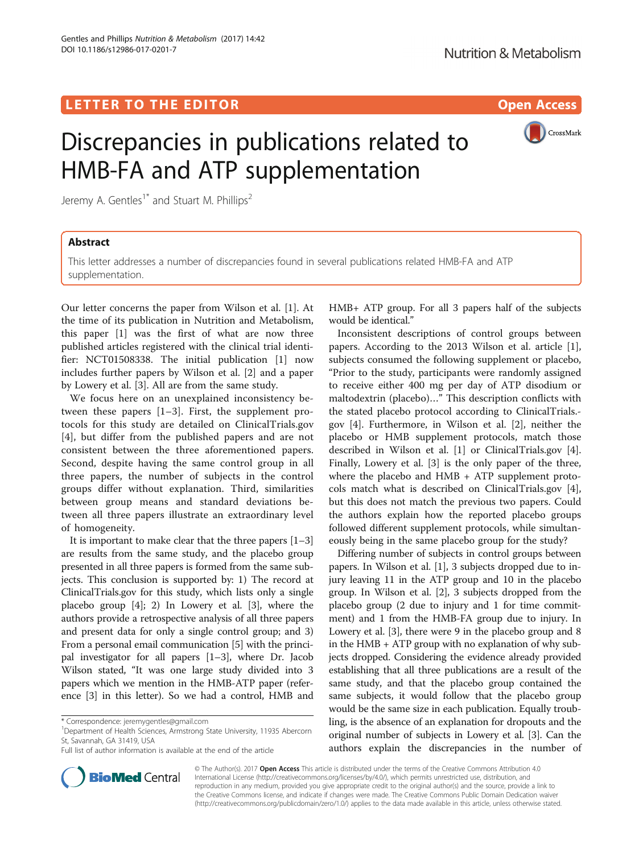## LETTER TO THE EDITOR **CONSIDERATION** CONSIDERING THE STATE AND THE STATE ASSAULT AND THE STATE ASSAULT ASSAULT AS



# Discrepancies in publications related to HMB-FA and ATP supplementation

Jeremy A. Gentles<sup>1\*</sup> and Stuart M. Phillips<sup>2</sup>

## Abstract

This letter addresses a number of discrepancies found in several publications related HMB-FA and ATP supplementation.

Our letter concerns the paper from Wilson et al. [[1\]](#page-1-0). At the time of its publication in Nutrition and Metabolism, this paper [\[1\]](#page-1-0) was the first of what are now three published articles registered with the clinical trial identifier: NCT01508338. The initial publication [\[1\]](#page-1-0) now includes further papers by Wilson et al. [\[2](#page-1-0)] and a paper by Lowery et al. [[3\]](#page-1-0). All are from the same study.

We focus here on an unexplained inconsistency between these papers [\[1](#page-1-0)–[3](#page-1-0)]. First, the supplement protocols for this study are detailed on [ClinicalTrials.gov](http://clinicaltrials.gov) [[4\]](#page-1-0), but differ from the published papers and are not consistent between the three aforementioned papers. Second, despite having the same control group in all three papers, the number of subjects in the control groups differ without explanation. Third, similarities between group means and standard deviations between all three papers illustrate an extraordinary level of homogeneity.

It is important to make clear that the three papers  $[1-3]$  $[1-3]$  $[1-3]$  $[1-3]$  $[1-3]$ are results from the same study, and the placebo group presented in all three papers is formed from the same subjects. This conclusion is supported by: 1) The record at [ClinicalTrials.gov](http://clinicaltrials.gov) for this study, which lists only a single placebo group [[4\]](#page-1-0); 2) In Lowery et al. [[3\]](#page-1-0), where the authors provide a retrospective analysis of all three papers and present data for only a single control group; and 3) From a personal email communication [[5](#page-1-0)] with the principal investigator for all papers [[1](#page-1-0)–[3](#page-1-0)], where Dr. Jacob Wilson stated, "It was one large study divided into 3 papers which we mention in the HMB-ATP paper (reference [\[3](#page-1-0)] in this letter). So we had a control, HMB and



Inconsistent descriptions of control groups between papers. According to the 2013 Wilson et al. article [\[1](#page-1-0)], subjects consumed the following supplement or placebo, "Prior to the study, participants were randomly assigned to receive either 400 mg per day of ATP disodium or maltodextrin (placebo)…" This description conflicts with the stated placebo protocol according to [ClinicalTrials.](http://clinicaltrials.gov) [gov](http://clinicaltrials.gov) [[4\]](#page-1-0). Furthermore, in Wilson et al. [[2\]](#page-1-0), neither the placebo or HMB supplement protocols, match those described in Wilson et al. [\[1](#page-1-0)] or [ClinicalTrials.gov](http://clinicaltrials.gov) [\[4](#page-1-0)]. Finally, Lowery et al. [\[3](#page-1-0)] is the only paper of the three, where the placebo and HMB + ATP supplement protocols match what is described on [ClinicalTrials.gov](http://clinicaltrials.gov) [\[4](#page-1-0)], but this does not match the previous two papers. Could the authors explain how the reported placebo groups followed different supplement protocols, while simultaneously being in the same placebo group for the study?

Differing number of subjects in control groups between papers. In Wilson et al. [\[1](#page-1-0)], 3 subjects dropped due to injury leaving 11 in the ATP group and 10 in the placebo group. In Wilson et al. [[2](#page-1-0)], 3 subjects dropped from the placebo group (2 due to injury and 1 for time commitment) and 1 from the HMB-FA group due to injury. In Lowery et al. [[3](#page-1-0)], there were 9 in the placebo group and 8 in the HMB + ATP group with no explanation of why subjects dropped. Considering the evidence already provided establishing that all three publications are a result of the same study, and that the placebo group contained the same subjects, it would follow that the placebo group would be the same size in each publication. Equally troubling, is the absence of an explanation for dropouts and the original number of subjects in Lowery et al. [\[3](#page-1-0)]. Can the authors explain the discrepancies in the number of



© The Author(s). 2017 Open Access This article is distributed under the terms of the Creative Commons Attribution 4.0 International License [\(http://creativecommons.org/licenses/by/4.0/](http://creativecommons.org/licenses/by/4.0/)), which permits unrestricted use, distribution, and reproduction in any medium, provided you give appropriate credit to the original author(s) and the source, provide a link to the Creative Commons license, and indicate if changes were made. The Creative Commons Public Domain Dedication waiver [\(http://creativecommons.org/publicdomain/zero/1.0/](http://creativecommons.org/publicdomain/zero/1.0/)) applies to the data made available in this article, unless otherwise stated.

<sup>\*</sup> Correspondence: [jeremygentles@gmail.com](mailto:jeremygentles@gmail.com) <sup>1</sup>

<sup>&</sup>lt;sup>1</sup>Department of Health Sciences, Armstrong State University, 11935 Abercorn St, Savannah, GA 31419, USA

Full list of author information is available at the end of the article